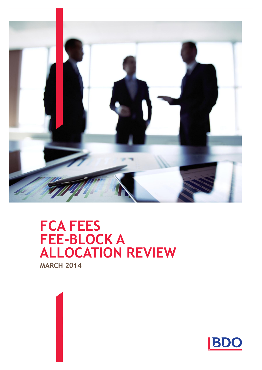

# **MARCH 2014 FCA FEES FEE-BLOCK A ALLOCATION REVIEW**

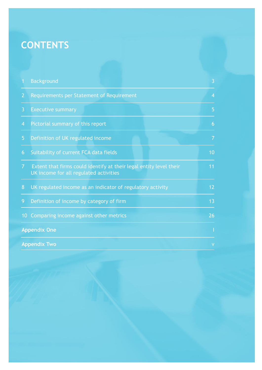# **CONTENTS**

| 1              | <b>Background</b>                                                                                            | 3              |
|----------------|--------------------------------------------------------------------------------------------------------------|----------------|
| $\overline{2}$ | Requirements per Statement of Requirement                                                                    | $\overline{4}$ |
| $\overline{3}$ | <b>Executive summary</b>                                                                                     | 5              |
| $\overline{4}$ | Pictorial summary of this report                                                                             | 6              |
| 5              | Definition of UK regulated income                                                                            | $\overline{7}$ |
| 6              | Suitability of current FCA data fields                                                                       | 10             |
| $\overline{7}$ | Extent that firms could identify at their legal entity level their<br>UK income for all regulated activities | 11             |
| 8              | UK regulated income as an indicator of regulatory activity                                                   | 12             |
| 9              | Definition of income by category of firm                                                                     | 13             |
| 10             | Comparing income against other metrics                                                                       | 26             |
|                | <b>Appendix One</b>                                                                                          |                |
|                | <b>Appendix Two</b>                                                                                          | V              |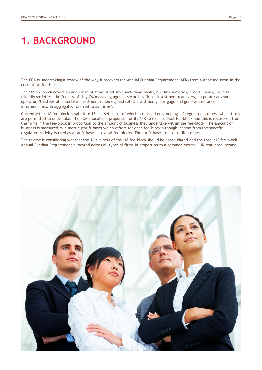## **1. BACKGROUND**

The FCA is undertaking a review of the way it recovers the Annual Funding Requirement (AFR) from authorised firms in the current "A" fee-block.

The "A" fee-block covers a wide range of firms of all sizes including: banks, building societies, credit unions, insurers, friendly societies, the Society of Lloyd"s/managing agents, securities firms, investment managers, corporate advisors, operators/trustees of collective investment schemes, and retail investment, mortgage and general insurance intermediaries; in aggregate, referred to as 'firms'.

Currently the "A" fee-block is split into 16 sub-sets most of which are based on groupings of regulated business which firms are permitted to undertake. The FCA allocates a proportion of its AFR to each sub-set fee-block and this is recovered from the firms in the fee-block in proportion to the amount of business they undertake within the fee-block. The amount of business is measured by a metric (tariff base) which differs for each fee-block although income from the specific regulated activity is used as a tariff base in several fee-blocks. The tariff bases relate to UK business.

The review is considering whether the 16 sub-sets of the "A" fee-block should be consolidated and the total "A" fee-block Annual Funding Requirement allocated across all types of firms in proportion to a common metric – UK regulated income.

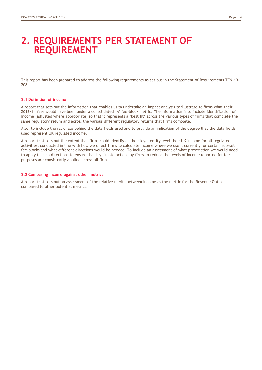### **2. REQUIREMENTS PER STATEMENT OF REQUIREMENT**

This report has been prepared to address the following requirements as set out in the Statement of Requirements TEN-13- 208.

#### **2.1 Definition of income**

A report that sets out the information that enables us to undertake an impact analysis to illustrate to firms what their 2013/14 fees would have been under a consolidated "A" fee-block metric. The information is to include identification of income (adjusted where appropriate) so that it represents a "best fit" across the various types of firms that complete the same regulatory return and across the various different regulatory returns that firms complete.

Also, to include the rationale behind the data fields used and to provide an indication of the degree that the data fields used represent UK regulated income.

A report that sets out the extent that firms could identify at their legal entity level their UK income for all regulated activities, conducted in line with how we direct firms to calculate income where we use it currently for certain sub-set fee-blocks and what different directions would be needed. To include an assessment of what prescription we would need to apply to such directions to ensure that legitimate actions by firms to reduce the levels of income reported for fees purposes are consistently applied across all firms.

#### **2.2 Comparing income against other metrics**

A report that sets out an assessment of the relative merits between income as the metric for the Revenue Option compared to other potential metrics.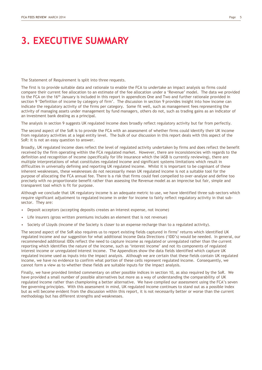# **3. EXECUTIVE SUMMARY**

The Statement of Requirement is split into three requests.

The first is to provide suitable data and rationale to enable the FCA to undertake an impact analysis so firms could compare their current fee allocation to an estimate of the fee allocation under a "Revenue" model. The data we provided to the FCA on the 16<sup>th</sup> January is included in this report in appendices One and Two and further rationale provided in section 9 "Definition of income by category of firm". The discussion in section 9 provides insight into how income can indicate the regulatory activity of the firms per category. Some fit well, such as management fees representing the activity of managing assets under management by fund managers, others do not, such as trading gains as an indicator of an investment bank dealing as a principal.

The analysis in section 9 suggests UK regulated income does broadly reflect regulatory activity but far from perfectly.

The second aspect of the SoR is to provide the FCA with an assessment of whether firms could identify their UK income from regulatory activities at a legal entity level. The bulk of our discussion in this report deals with this aspect of the SoR: it is not an easy question to answer.

Broadly, UK regulated income does reflect the level of regulated activity undertaken by firms and does reflect the benefit received by the firm operating within the FCA regulated market. However, there are inconsistencies with regards to the definition and recognition of income (specifically for life insurance which the IASB is currently reviewing), there are multiple interpretations of what constitutes regulated income and significant systems limitations which result in difficulties in universally defining and reporting UK regulated income. Whilst it is important to be cognisant of these inherent weaknesses, these weaknesses do not necessarily mean UK regulated income is not a suitable tool for the purpose of allocating the FCA annual fee. There is a risk that firms could feel compelled to over-analyse and define too precisely with no proportionate benefit rather than assessing the Revenue model as an imprecise but fair, simple and transparent tool which is fit for purpose.

Although we conclude that UK regulatory income is an adequate metric to use, we have identified three sub-sectors which require significant adjustment to regulated income in order for income to fairly reflect regulatory activity in that subsector. They are:

- Deposit acceptors (accepting deposits creates an interest expense, not income)
- Life insurers (gross written premiums includes an element that is not revenue)
- Society of Lloyds (income of the Society is closer to an expense recharge than to a regulated activity).

The second aspect of the SoR also requires us to report existing fields captured in firms' returns which identified UK regulated income and our suggestion for what additional Income Data Directions ("IDD"s) would be needed. In general, our recommended additional IDDs reflect the need to capture income as regulated or unregulated rather than the current reporting which identifies the nature of the income, such as "interest income" and not its components of regulated interest income or unregulated interest income. The Appendices show the data fields identified which capture UK regulated income used as inputs into the impact analysis. Although we are certain that these fields contain UK regulated income, we have no evidence to confirm what portion of these cells represent regulated income. Consequently, we cannot form a view as to whether these fields are suitable inputs for the impact analysis.

Finally, we have provided limited commentary on other possible indices in section 10, as also required by the SoR. We have provided a small number of possible alternatives but more as a way of understanding the comparability of UK regulated income rather than championing a better alternative. We have compiled our assessment using the FCA"s seven fee governing principles. With this assessment in mind, UK regulated income continues to stand out as a possible index but as will become evident from the discussion within this report, it is not necessarily better or worse than the current methodology but has different strengths and weaknesses.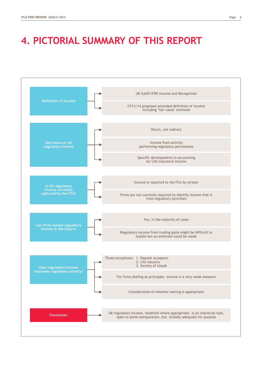# **4. PICTORIAL SUMMARY OF THIS REPORT**

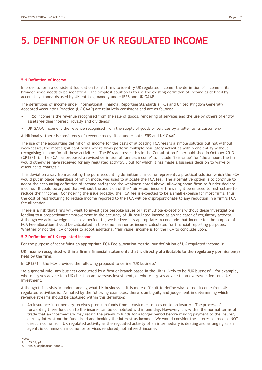# **5. DEFINITION OF UK REGULATED INCOME**

#### **5.1 Definition of income**

In order to form a consistent foundation for all firms to identify UK regulated income, the definition of income in its broader sense needs to be identified. The simplest solution is to use the existing definition of income as defined by accounting standards used by UK entities, namely under IFRS and UK GAAP.

The definitions of income under International Financial Reporting Standards (IFRS) and United Kingdom Generally Accepted Accounting Practice (UK GAAP) are relatively consistent and are as follows:

- IFRS: Income is the revenue recognised from the sale of goods, rendering of services and the use by others of entity assets yielding interest, royalty and dividends<sup>1</sup>.
- UK GAAP: Income is the revenue recognised from the supply of goods or services by a seller to its customers<sup>2</sup>.

Additionally, there is consistency of revenue recognition under both IFRS and UK GAAP.

The use of the accounting definition of income for the basis of allocating FCA fees is a simple solution but not without weaknesses; the most significant being where firms perform multiple regulatory activities within one entity without recognising income for all those activities. The FCA addresses this in the Consultation Paper published in October 2013 (CP13/14). The FCA has proposed a revised definition of "annual income" to include "fair value" for "the amount the firm would otherwise have received for any regulated activity... but for which it has made a business decision to waive or discount its charges."

This deviation away from adopting the pure accounting definition of income represents a practical solution which the FCA would put in place regardless of which model was used to allocate the FCA fee. The alternative option is to continue to adopt the accounting definition of income and ignore the weakness noted above, allowing some firms to "under-declare" income. It could be argued that without the addition of the "fair value" income firms might be enticed to restructure to reduce their income. Considering the issue broadly, the FCA fee is expected to be a small expense for most firms, thus the cost of restructuring to reduce income reported to the FCA will be disproportionate to any reduction in a firm"s FCA fee allocation.

There is a risk that firms will want to investigate bespoke issues or list multiple exceptions without these investigations leading to a proportionate improvement in the accuracy of UK regulated income as an indicator of regulatory activity. Although we acknowledge it is not a perfect fit, we believe it is appropriate to conclude that income for the purpose of FCA Fee allocation should be calculated in the same manner as income calculated for financial reporting purposes. Whether or not the FCA chooses to adopt additional "fair value" income is for the FCA to conclude upon.

#### **5.2 Definition of UK regulated income**

For the purpose of identifying an appropriate FCA Fee allocation metric, our definition of UK regulated income is:

**UK income recognised within a firm's financial statements that is directly attributable to the regulatory permission(s) held by the firm.** 

In CP13/14, the FCA provides the following proposal to define 'UK business':

"As a general rule, any business conducted by a firm or branch based in the UK is likely to be "UK business" – for example, where it gives advice to a UK client on an overseas investment, or where it gives advice to an overseas client on a UK investment."

Although this assists in understanding what UK business is, it is more difficult to define what direct income from UK regulated activities is. As noted by the following examples, there is ambiguity and judgement in determining which revenue streams should be captured within this definition:

• An insurance intermediary receives premium funds from a customer to pass on to an insurer. The process of forwarding these funds on to the insurer can be completed within one day. However, it is within the normal terms of trade that an intermediary may retain the premium funds for a longer period before making payment to the insurer, earning interest on the funds held and booking the interest as income. We would consider the interest earned as NOT direct income from UK regulated activity as the regulated activity of an intermediary is dealing and arranging as an agent, ie commission income for services rendered, not interest income.

Note: IAS 18, p1

<sup>2.</sup> FRS 5, application note G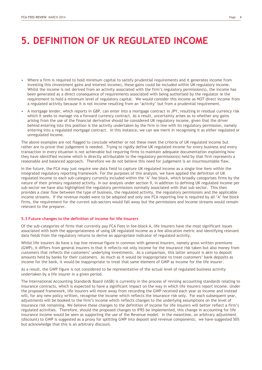# **5. DEFINITION OF UK REGULATED INCOME**

- Where a firm is required to hold minimum capital to satisfy prudential requirements and it generates income from investing this (investment gains and interest income), these gains could be included within UK regulatory income. Whilst the income is not derived from an activity associated with the firm's regulatory permission(s), the income has been generated as a direct consequence of requirements associated with being authorised by the regulator ie the requirement to hold a minimum level of regulatory capital. We would consider this income as NOT direct income from a regulated activity because it is not income resulting from an "activity" but from a prudential requirement.
- A mortgage lender, which reports in GBP, can enter into a mortgage contract in JPY, resulting in residual currency risk which it seeks to manage via a forward currency contract. As a result, uncertainty arises as to whether any gains arising from the use of the financial derivative should be considered UK regulatory income, given that the driver behind entering into this position is the activity undertaken by the firm in line with its regulatory permission, namely entering into a regulated mortgage contract. In this instance, we can see merit in recognising it as either regulated or unregulated income.

The above examples are not flagged to conclude whether or not these meet the criteria of UK regulated income but rather are to prove that judgement is needed. Trying to rigidly define UK regulated income for every business and every transaction in every situation is not achievable but requiring firms to maintain adequate documentation explaining how they have identified income which is directly attributable to the regulatory permission(s) held by that firm represents a reasonable and balanced approach. Therefore we do not believe this need for judgement is an insurmountable flaw.

In the future, the FCA may just require one data field to capture UK regulated income as a single line item within the integrated regulatory reporting framework. For the purposes of this analysis, we have applied the definition of UK regulated income to each sub-category currently included within the "A" fee block, which broadly categorises firms by the nature of their primary regulated activity. In our analysis under section 9, in addition to defining UK regulated income per sub-sector we have also highlighted the regulatory permissions normally associated with that sub-sector. This then provides a clear flow between the type of business, the regulated activity, the regulatory permissions and the applicable income streams. If the revenue model were to be adopted and only one FCA reporting line is required by all "A" fee block firms, the requirement for the current sub-sectors would fall away but the permissions and income streams would remain relevant to the preparer.

### **5.3 Future changes to the definition of income for life insurers**

Of the sub-categories of firms that currently pay FCA Fees in fee-block A, life insurers have the most significant issues associated with both the appropriateness of using UK regulated income as a fee allocation metric and identifying relevant data fields from the regulatory returns to derive an appropriate indicator of regulated activity.

Whilst life insurers do have a top line revenue figure in common with general insurers, namely gross written premiums (GWP), it differs from general insurers in that it reflects not only income for the insurance risk taken but also money from customers that reflects the customers" underlying investments. As a comparison, this latter amount is akin to deposit amounts held by banks for their customers. As much as it would be inappropriate to treat customers" bank deposits as income for the bank, it would be inappropriate to treat that same element of GWP as income for the life insurer.

As a result, the GWP figure is not considered to be representative of the actual level of regulated business activity undertaken by a life insurer in a given period.

The International Accounting Standards Board (IASB) is currently in the process of revising accounting standards relating to insurance contracts, which is expected to have a significant impact on the way in which life insurers report income. Under the proposed framework, life insurers will move away from recording the GWP received each year as income and instead will, for any new policy written, recognise the income which reflects the insurance risk only. For each subsequent year, adjustments will be booked to the firm"s income which reflects changes to the underlying assumptions on the level of insurance risk remaining. We believe these changes to the definition of income for life insurers will better reflect a firm"s regulated activities. Therefore, should the proposed changes to IFRS be implemented, this change in accounting for life insurance income would be seen as supporting the use of the Revenue model. In the meantime, an arbitrary adjustment (discount) to GWP is suggested as a proxy for splitting GWP into deposit and revenue components; we have suggested 50% but acknowledge that this is an arbitrary discount.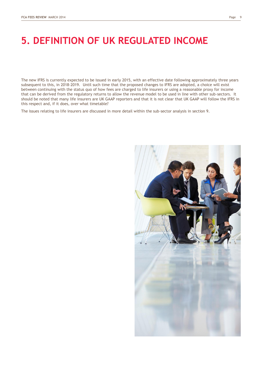# **5. DEFINITION OF UK REGULATED INCOME**

The new IFRS is currently expected to be issued in early 2015, with an effective date following approximately three years subsequent to this, in 2018-2019. Until such time that the proposed changes to IFRS are adopted, a choice will exist between continuing with the status quo of how fees are charged to life insurers or using a reasonable proxy for income that can be derived from the regulatory returns to allow the revenue model to be used in line with other sub-sectors. It should be noted that many life insurers are UK GAAP reporters and that it is not clear that UK GAAP will follow the IFRS in this respect and, if it does, over what timetable?

The issues relating to life insurers are discussed in more detail within the sub-sector analysis in section 9.

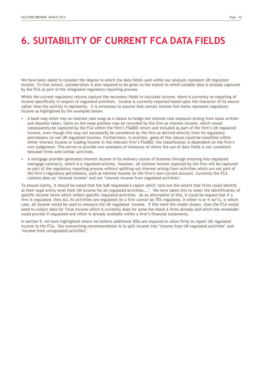# **6. SUITABILITY OF CURRENT FCA DATA FIELDS**

We have been asked to consider the degree to which the data fields used within our analysis represent UK regulated income. To that extent, consideration is also required to be given to the extent to which suitable data is already captured by the FCA as part of the integrated regulatory reporting process.

Whilst the current regulatory returns capture the necessary fields to calculate income, there is currently no reporting of income specifically in respect of regulated activities. Income is currently reported based upon the character of its source rather than the activity it represents. It is erroneous to assume that certain income line items represent regulatory income as highlighted by the examples below:

- A bank may enter into an interest rate swap as a means to hedge net interest rate exposure arising from loans written and deposits taken. Gains on the swap position may be recorded by the firm as interest income, which would subsequently be captured by the FCA within the firm"s FSA002 return and included as part of the firm"s UK regulated income, even though this may not necessarily be considered by the firm as derived directly from its regulatory permissions (ie not UK regulated income). Furthermore, in practice, gains of this nature could be classified within either interest income or trading income in the relevant firm"s FSA002; the classification is dependent on the firm"s own judgement. This serves to provide two examples of instances of where the use of data fields is not consistent between firms with similar activities.
- A mortgage provider generates interest income in its ordinary course of business through entering into regulated mortgage contracts, which is a regulated activity. However, all interest income reported by the firm will be captured as part of the regulatory reporting process without splitting out interest arising from activities which are not part of the firm"s regulatory permissions, such as interest income on the firm"s own current account. Currently the FCA collates data on "interest income" and not "interest income from regulated activities".

To ensure clarity, it should be noted that the SoR requested a report which "sets out the extent that firms could identify at their legal entity level their UK income for all regulated activities...'. We have taken this to mean the identification of specific income items which reflect specific regulated activities. As an alternative to this, it could be argued that if a firm is regulated, then ALL its activities are regulated (ie a firm cannot be 75% regulated, it either is or it isn"t), in which case, all income would be used to measure the UK regulated income. If this were the model chosen, then the FCA would need to collect data for Total Income which it currently does for some fee-block A firms already and which the remainder could provide if requested and which is already available within a firm"s financial statements.

In section 9, we have highlighted where we believe additional IDDs are required to allow firms to report UK regulated income to the FCA. Our overarching recommendation is to split income into "income from UK regulated activities" and 'income from unregulated activities'.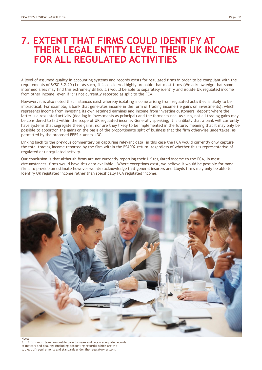### **7. EXTENT THAT FIRMS COULD IDENTIFY AT THEIR LEGAL ENTITY LEVEL THEIR UK INCOME FOR ALL REGULATED ACTIVITIES**

A level of assumed quality in accounting systems and records exists for regulated firms in order to be compliant with the requirements of SYSC 3.2.20  $(1)^3$ . As such, it is considered highly probable that most firms (We acknowledge that some intermediaries may find this extremely difficult.) would be able to separately identify and isolate UK regulated income from other income, even if it is not currently reported as split to the FCA.

However, it is also noted that instances exist whereby isolating income arising from regulated activities is likely to be impractical. For example, a bank that generates income in the form of trading income (ie gains on investments), which represents income from investing its own retained earnings and income from investing customers" deposit where the latter is a regulated activity (dealing in investments as principal) and the former is not. As such, not all trading gains may be considered to fall within the scope of UK regulated income. Generally speaking, it is unlikely that a bank will currently have systems that segregate these gains, nor are they likely to be implemented in the future, meaning that it may only be possible to apportion the gains on the basis of the proportionate split of business that the firm otherwise undertakes, as permitted by the proposed FEES 4 Annex 13G.

Linking back to the previous commentary on capturing relevant data, in this case the FCA would currently only capture the total trading income reported by the firm within the FSA002 return, regardless of whether this is representative of regulated or unregulated activity.

Our conclusion is that although firms are not currently reporting their UK regulated income to the FCA, in most circumstances, firms would have this data available. Where exceptions exist, we believe it would be possible for most firms to provide an estimate however we also acknowledge that general insurers and Lloyds firms may only be able to identify UK regulated income rather than specifically FCA regulated income.



3. A firm must take reasonable care to make and retain adequate records of matters and dealings (including accounting records) which are the subject of requirements and standards under the regulatory system.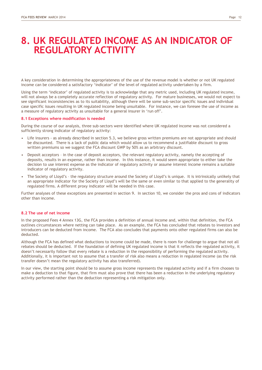### **8. UK REGULATED INCOME AS AN INDICATOR OF REGULATORY ACTIVITY**

A key consideration in determining the appropriateness of the use of the revenue model is whether or not UK regulated income can be considered a satisfactory "indicator" of the level of regulated activity undertaken by a firm.

Using the term "indicator" of regulated activity is to acknowledge that any metric used, including UK regulated income, will not always be a completely accurate reflection of regulatory activity. For mature businesses, we would not expect to see significant inconsistencies as to its suitability, although there will be some sub-sector specific issues and individual case specific issues resulting in UK regulated income being unsuitable. For instance, we can foresee the use of income as a measure of regulatory activity as unsuitable for a general insurer in "run off".

### **8.1 Exceptions where modification is needed**

During the course of our analysis, three sub-sectors were identified where UK regulated income was not considered a sufficiently strong indicator of regulatory activity:

- Life insurers as already described in section 5.3, we believe gross written premiums are not appropriate and should be discounted. There is a lack of public data which would allow us to recommend a justifiable discount to gross written premiums so we suggest the FCA discount GWP by 50% as an arbitrary discount.
- Deposit acceptors in the case of deposit acceptors, the relevant regulatory activity, namely the accepting of deposits, results in an expense, rather than income. In this instance, it would seem appropriate to either take the decision to use interest expense as the indicator of regulatory activity or assume interest income remains a suitable indicator of regulatory activity.
- The Society of Lloyd"s the regulatory structure around the Society of Lloyd"s is unique. It is intrinsically unlikely that an appropriate indicator for the Society of Lloyd"s will be the same or even similar to that applied to the generality of regulated firms. A different proxy indicator will be needed in this case.

Further analyses of these exceptions are presented in section 9. In section 10, we consider the pros and cons of indicators other than income.

#### **8.2 The use of net income**

In the proposed Fees 4 Annex 13G, the FCA provides a definition of annual income and, within that definition, the FCA outlines circumstances where netting can take place. As an example, the FCA has concluded that rebates to investors and introducers can be deducted from income. The FCA also concludes that payments onto other regulated firms can also be deducted.

Although the FCA has defined what deductions to income could be made, there is room for challenge to argue that not all rebates should be deducted. If the foundation of defining UK regulated income is that it reflects the regulated activity, it doesn"t necessarily follow that every rebate is a reduction in the responsibility of performing the regulated activity. Additionally, it is important not to assume that a transfer of risk also means a reduction in regulated income (as the risk transfer doesn"t mean the regulatory activity has also transferred).

In our view, the starting point should be to assume gross income represents the regulated activity and if a firm chooses to make a deduction to that figure, that firm must also prove that there has been a reduction in the underlying regulatory activity performed rather than the deduction representing a risk mitigation only.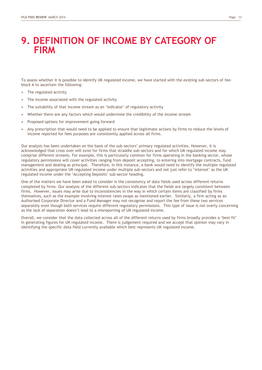To assess whether it is possible to identify UK regulated income, we have started with the existing sub-sectors of feeblock A to ascertain the following:

- The regulated activity
- The income associated with the regulated activity
- The suitability of that income stream as an 'indicator' of regulatory activity
- Whether there are any factors which would undermine the credibility of the income stream
- Proposed options for improvement going forward
- Any prescription that would need to be applied to ensure that legitimate actions by firms to reduce the levels of income reported for fees purposes are consistently applied across all firms.

Our analysis has been undertaken on the basis of the sub-sectors" primary regulated activities. However, it is acknowledged that cross over will exist for firms that straddle sub-sectors and for which UK regulated income may comprise different streams. For example, this is particularly common for firms operating in the banking sector, whose regulatory permissions will cover activities ranging from deposit accepting, to entering into mortgage contracts, fund management and dealing as principal. Therefore, in this instance, a bank would need to identify the multiple regulated activities and appropriate UK regulated income under multiple sub-sectors and not just refer to "interest" as the UK regulated income under the "Accepting Deposits" sub-sector heading.

One of the matters we have been asked to consider is the consistency of data fields used across different returns completed by firms. Our analysis of the different sub-sectors indicates that the fields are largely consistent between firms. However, issues may arise due to inconsistencies in the way in which certain items are classified by firms themselves, such as the example involving interest rates swaps as mentioned earlier. Similarly, a firm acting as an Authorised Corporate Director and a Fund Manager may not recognise and report the fee from these two services separately even though both services require different regulatory permissions. This type of issue is not overly concerning as the lack of separation doesn"t lead to a misreporting of UK regulated income.

Overall, we consider that the data collected across all of the different returns used by firms broadly provides a "best fit" in generating figures for UK regulated income. There is judgement required and we accept that opinion may vary in identifying the specific data field currently available which best represents UK regulated income.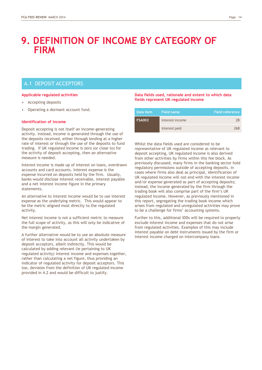### A.1 DEPOSIT ACCEPTORS

### **Applicable regulated activities**

- Accepting deposits
- Operating a dormant account fund.

### **Identification of income**

Deposit accepting is not itself an income-generating activity. Instead, income is generated through the use of the deposits received, either through lending at a higher rate of interest or through the use of the deposits to fund trading. If UK regulated income is zero (or close to) for the activity of deposit accepting, then an alternative measure is needed.

Interest income is made up of interest on loans, overdrawn accounts and card accounts. Interest expense is the expense incurred on deposits held by the firm. Usually, banks would disclose interest receivable, interest payable and a net interest income figure in the primary statements.

An alternative to interest income would be to use interest expense as the underlying metric. This would appear to be the metric aligned most directly to the regulated activity.

Net interest income is not a sufficient metric to measure the full scope of activity, as this will only be indicative of the margin generated.

A further alternative would be to use an absolute measure of interest to take into account all activity undertaken by deposit acceptors, albeit indirectly. This would be calculated by adding relevant (ie pertaining to UK regulated activity) interest income and expenses together, rather than calculating a net figure, thus providing an indicator of regulated activity for deposit acceptors. This too, deviates from the definition of UK regulated income provided in 4.2 and would be difficult to justify.

### **Data fields used, rationale and extent to which data fields represent UK regulated income**

| ' Data item.  | <b>Field name</b> | <b>Field reference</b> |
|---------------|-------------------|------------------------|
| <b>FSA002</b> | Interest income   | 7Β                     |
|               | Interest paid     | 26 <sub>B</sub>        |

Whilst the data fields used are considered to be representative of UK regulated income as relevant to deposit accepting, UK regulated income is also derived from other activities by firms within this fee block. As previously discussed, many firms in the banking sector hold regulatory permissions outside of accepting deposits. In cases where firms also deal as principal, identification of UK regulated income will not end with the interest income and/or expense generated as part of accepting deposits; instead, the income generated by the firm through the trading book will also comprise part of the firm"s UK regulated income. However, as previously mentioned in this report, segregating the trading book income which arises from regulated and unregulated activities may prove to be a challenge for firms' accounting systems.

Further to this, additional IDDs will be required to properly exclude interest income and expenses that do not arise from regulated activities. Examples of this may include interest payable on debt instruments issued by the firm or interest income charged on intercompany loans.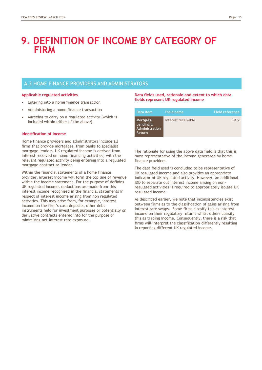### A.2 HOME FINANCE PROVIDERS AND ADMINISTRATORS

### **Applicable regulated activities**

- Entering into a home finance transaction
- Administering a home finance transaction
- Agreeing to carry on a regulated activity (which is included within either of the above).

### **Identification of income**

Home finance providers and administrators include all firms that provide mortgages, from banks to specialist mortgage lenders. UK regulated income is derived from interest received on home financing activities, with the relevant regulated activity being entering into a regulated mortgage contract as lender.

Within the financial statements of a home finance provider, interest income will form the top line of revenue within the income statement. For the purpose of defining UK regulated income, deductions are made from this interest income recognised in the financial statements in respect of interest income arising from non regulated activities. This may arise from, for example, interest income on the firm"s cash deposits, other debt instruments held for investment purposes or potentially on derivative contracts entered into for the purpose of minimising net interest rate exposure.

### **Data fields used, rationale and extent to which data fields represent UK regulated income**

| Data item                                                | 'Field name.        | <b>Field reference</b> |
|----------------------------------------------------------|---------------------|------------------------|
| Mortgage<br>Lending &<br>Administration<br><b>Return</b> | Interest receivable | <b>B1.2</b>            |

The rationale for using the above data field is that this is most representative of the income generated by home finance providers.

The data field used is concluded to be representative of UK regulated income and also provides an appropriate indicator of UK regulated activity. However, an additional IDD to separate out interest income arising on nonregulated activities is required to appropriately isolate UK regulated income.

As described earlier, we note that inconsistencies exist between firms as to the classification of gains arising from interest rate swaps. Some firms classify this as interest income on their regulatory returns whilst others classify this as trading income. Consequently, there is a risk that firms will interpret the classification differently resulting in reporting different UK regulated income.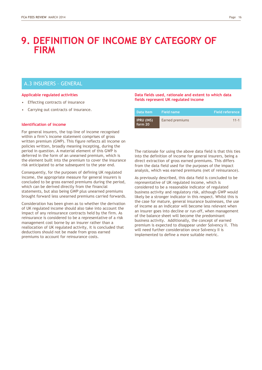### A.3 INSURERS – GENERAL

### **Applicable regulated activities**

- **Effecting contracts of insurance**
- Carrying out contracts of insurance.

#### **Identification of income**

For general insurers, the top line of income recognised within a firm's income statement comprises of gross written premium (GWP). This figure reflects all income on policies written, broadly meaning incepting, during the period in question. A material element of this GWP is deferred in the form of an unearned premium, which is the element built into the premium to cover the insurance risk anticipated to arise subsequent to the year end.

Consequently, for the purposes of defining UK regulated income, the appropriate measure for general insurers is concluded to be gross earned premiums during the period, which can be derived directly from the financial statements, but also being GWP plus unearned premiums brought forward less unearned premiums carried forwards.

Consideration has been given as to whether the derivation of UK regulated income should also take into account the impact of any reinsurance contracts held by the firm. As reinsurance is considered to be a representative of a risk management cost borne by an insurer rather than a reallocation of UK regulated activity, it is concluded that deductions should not be made from gross earned premiums to account for reinsurance costs.

### **Data fields used, rationale and extent to which data fields represent UK regulated income**

| Data item                    | 'Field name.    | <b>Field reference</b> |
|------------------------------|-----------------|------------------------|
| <b>IPRU (INS)</b><br>form 20 | Earned premiums | $11 - 1$               |

The rationale for using the above data field is that this ties into the definition of income for general insurers, being a direct extraction of gross earned premiums. This differs from the data field used for the purposes of the impact analysis, which was earned premiums (net of reinsurance).

As previously described, this data field is concluded to be representative of UK regulated income, which is considered to be a reasonable indicator of regulated business activity and regulatory risk, although GWP would likely be a stronger indicator in this respect. Whilst this is the case for mature, general insurance businesses, the use of income as an indicator will become less relevant when an insurer goes into decline or run-off, when management of the balance sheet will become the predominant business activity. Additionally, the concept of earned premium is expected to disappear under Solvency II. This will need further consideration once Solvency II is implemented to define a more suitable metric.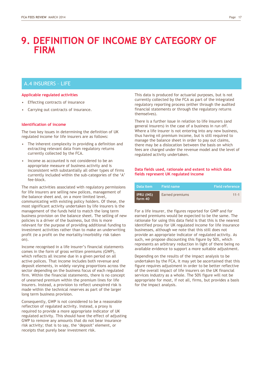### A.4 INSURERS – LIFE

### **Applicable regulated activities**

- **Effecting contracts of insurance**
- Carrying out contracts of insurance.

### **Identification of income**

The two key issues in determining the definition of UK regulated income for life insurers are as follows:

- The inherent complexity in providing a definition and extracting relevant data from regulatory returns currently collected by the FCA.
- Income as accounted is not considered to be an appropriate measure of business activity and is inconsistent with substantially all other types of firms currently included within the sub-categories of the "A" fee-block.

The main activities associated with regulatory permissions for life insurers are selling new polices, management of the balance sheet and, on a more limited level, communicating with existing policy holders. Of these, the most significant activity undertaken by life insurers is the management of the funds held to match the long term business provision on the balance sheet. The selling of new policies is a driver of the business, but this is more relevant for the purpose of providing additional funding to investment activities rather than to make an underwriting profit (ie a profit on the mortality/morbidity risk taken on).

Income recognised in a life insurer"s financial statements comes in the form of gross written premiums (GWP), which reflects all income due in a given period on all active polices. That income includes both revenue and deposit elements, in widely varying proportions across the sector depending on the business focus of each regulated firm. Within the financial statements, there is no concept of unearned premium within the premium lines for life insurers. Instead, a provision to reflect unexpired risk is made within the technical reserves as part of the larger long term business provision.

Consequently, GWP is not considered to be a reasonable reflection of regulated activity. Instead, a proxy is required to provide a more appropriate indicator of UK regulated activity. This should have the effect of adjusting GWP to remove any amounts that do not bear insurance risk activity; that is to say, the 'deposit' element, or receipts that purely bear investment risk.

This data is produced for actuarial purposes, but is not currently collected by the FCA as part of the integrated regulatory reporting process (either through the audited financial statements or through the regulatory returns themselves).

There is a further issue in relation to life insurers (and general insurers) in the case of a business in run off. Where a life insurer is not entering into any new business, thus having nil premium income, but is still required to manage the balance sheet in order to pay out claims, there may be a dislocation between the basis on which fees are charged under the revenue model and the level of regulated activity undertaken.

### **Data fields used, rationale and extent to which data fields represent UK regulated income**

| Data item                    | Field name      | <b>Field reference</b> |
|------------------------------|-----------------|------------------------|
| <b>IPRU (INS)</b><br>form 40 | Earned premiums | $11 - 1$               |

For a life insurer, the figures reported for GWP and for earned premiums would be expected to be the same. The rationale for using this data field is that this is the nearest identified proxy for UK regulated income for life insurance businesses, although we note that this still does not provide an appropriate indicator of regulated activity. As such, we propose discounting this figure by 50%, which represents an arbitrary reduction in light of there being no available evidence to support a more suitable adjustment.

Depending on the results of the impact analysis to be undertaken by the FCA, it may yet be ascertained that this figure requires adjustment in order to be better reflective of the overall impact of life insurers on the UK financial services industry as a whole. The 50% figure will not be appropriate for most, if not all, firms, but provides a basis for the impact analysis.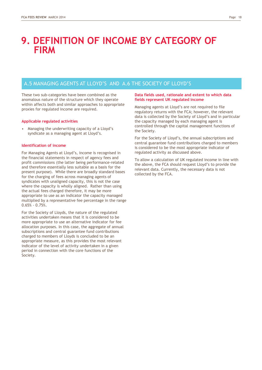### A.5 MANAGING AGENTS AT LLOYD"S AND A.6 THE SOCIETY OF LLOYD"S

These two sub-categories have been combined as the anomalous nature of the structure which they operate within affects both and similar approaches to appropriate proxies for regulated income are required.

### **Applicable regulated activities**

• Managing the underwriting capacity of a Lloyd"s syndicate as a managing agent at Lloyd"s.

#### **Identification of income**

For Managing Agents at Lloyd"s, income is recognised in the financial statements in respect of agency fees and profit commissions (the latter being performance-related and therefore essentially less suitable as a basis for the present purpose). While there are broadly standard bases for the charging of fees across managing agents of syndicates with unaligned capacity, this is not the case where the capacity is wholly aligned. Rather than using the actual fees charged therefore, it may be more appropriate to use as an indicator the capacity managed multiplied by a representative fee percentage in the range 0.65% - 0.75%.

For the Society of Lloyds, the nature of the regulated activities undertaken means that it is considered to be more appropriate to use an alternative indicator for fee allocation purposes. In this case, the aggregate of annual subscriptions and central guarantee fund contributions charged to members of Lloyds is concluded to be an appropriate measure, as this provides the most relevant indicator of the level of activity undertaken in a given period in connection with the core functions of the Society.

### **Data fields used, rationale and extent to which data fields represent UK regulated income**

Managing agents at Lloyd"s are not required to file regulatory returns with the FCA; however, the relevant data is collected by the Society of Lloyd"s and in particular the capacity managed by each managing agent is controlled through the capital management functions of the Society.

For the Society of Lloyd"s, the annual subscriptions and central guarantee fund contributions charged to members is considered to be the most appropriate indicator of regulated activity as discussed above.

To allow a calculation of UK regulated income in line with the above, the FCA should request Lloyd"s to provide the relevant data. Currently, the necessary data is not collected by the FCA.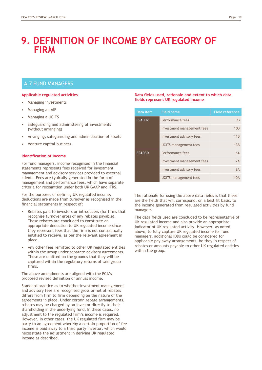### A.7 FUND MANAGERS

### **Applicable regulated activities**

- Managing investments
- Managing an AIF
- Managing a UCITS
- Safeguarding and administering of investments (without arranging)
- Arranging, safeguarding and administration of assets
- Venture capital business.

### **Identification of income**

For fund managers, income recognised in the financial statements represents fees received for investment management and advisory services provided to external clients. Fees are typically generated in the form of management and performance fees, which have separate criteria for recognition under both UK GAAP and IFRS.

For the purposes of defining UK regulated income, deductions are made from turnover as recognised in the financial statements in respect of:

- Rebates paid to investors or introducers (for firms that recognise turnover gross of any rebates payable). These rebates are concluded to constitute an appropriate deduction to UK regulated income since they represent fees that the firm is not contractually entitled to receive, as per the relevant agreement in place.
- Any other fees remitted to other UK regulated entities within the group under separate advisory agreements. These are omitted on the grounds that they will be captured within the regulatory returns of said group firms.

The above amendments are aligned with the FCA"s proposed revised definition of annual income.

Standard practice as to whether investment management and advisory fees are recognised gross or net of rebates differs from firm to firm depending on the nature of the agreements in place. Under certain rebate arrangements, rebates may be charged by an investor directly to their shareholding in the underlying fund. In these cases, no adjustment to the regulated firm"s income is required. However, in other cases, the UK regulated firm may be party to an agreement whereby a certain proportion of fee income is paid away to a third party investor, which would necessitate the adjustment in deriving UK regulated income as described.

### **Data fields used, rationale and extent to which data fields represent UK regulated income**

| Data item     | <b>Field name</b>            | <b>Field reference</b> |
|---------------|------------------------------|------------------------|
| <b>FSA002</b> | Performance fees             | <b>9B</b>              |
|               | Investment management fees   | 10B                    |
|               | Investment advisory fees     | 11B                    |
|               | <b>UCITS</b> management fees | 13B                    |
| <b>FSA030</b> | Performance fees             | <b>6A</b>              |
|               | Investment management fees   | 7A                     |
|               | Investment advisory fees     | <b>8A</b>              |
|               | <b>UCITS</b> management fees | 10A                    |

The rationale for using the above data fields is that these are the fields that will correspond, on a best fit basis, to the income generated from regulated activities by fund managers.

The data fields used are concluded to be representative of UK regulated income and also provide an appropriate indicator of UK regulated activity. However, as noted above, to fully capture UK regulated income for fund managers, additional IDDs could be considered for applicable pay away arrangements, be they in respect of rebates or amounts payable to other UK regulated entities within the group.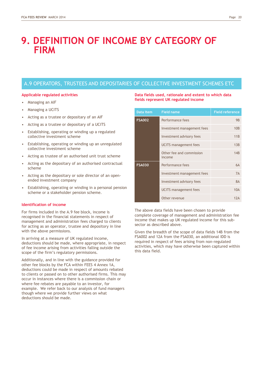### A.9 OPERATORS, TRUSTEES AND DEPOSITARIES OF COLLECTIVE INVESTMENT SCHEMES ETC

### **Applicable regulated activities**

- Managing an AIF
- Managing a UCITS
- Acting as a trustee or depositary of an AIF
- Acting as a trustee or depositary of a UCITS
- Establishing, operating or winding up a regulated collective investment scheme
- Establishing, operating or winding up an unregulated collective investment scheme
- Acting as trustee of an authorised unit trust scheme
- Acting as the depositary of an authorised contractual scheme
- Acting as the depositary or sole director of an openended investment company
- Establishing, operating or winding in a personal pension scheme or a stakeholder pension scheme.

#### **Identification of income**

For firms included in the A.9 fee block, income is recognised in the financial statements in respect of management and administration fees charged to clients for acting as an operator, trustee and depository in line with the above permissions.

In arriving at a measure of UK regulated income, deductions should be made, where appropriate, in respect of fee income arising from activities falling outside the scope of the firm"s regulatory permissions.

Additionally, and in line with the guidance provided for other fee blocks by the FCA within FEES 4 Annex 1A, deductions could be made in respect of amounts rebated to clients or passed on to other authorised firms. This may occur in instances where there is a commission chain or where fee rebates are payable to an investor, for example. We refer back to our analysis of fund managers though where we provide further views on what deductions should be made.

### **Data fields used, rationale and extent to which data fields represent UK regulated income**

| Data item     | <b>Field name</b>                  | <b>Field reference</b> |
|---------------|------------------------------------|------------------------|
| <b>FSA002</b> | Performance fees                   | <b>9B</b>              |
|               | Investment management fees         | 10B                    |
|               | Investment advisory fees           | 11B                    |
|               | UCITS management fees              | 13B                    |
|               | Other fee and commission<br>income | 14B                    |
| <b>FSA030</b> | Performance fees                   | 6A                     |
|               | Investment management fees         | 7A                     |
|               | Investment advisory fees           | 8A                     |
|               | <b>UCITS</b> management fees       | 10A                    |
|               | Other revenue                      | $17\Delta$             |

The above data fields have been chosen to provide complete coverage of management and administration fee income that makes up UK regulated income for this subsector as described above.

Given the breadth of the scope of data fields 14B from the FSA002 and 12A from the FSA030, an additional IDD is required in respect of fees arising from non-regulated activities, which may have otherwise been captured within this data field.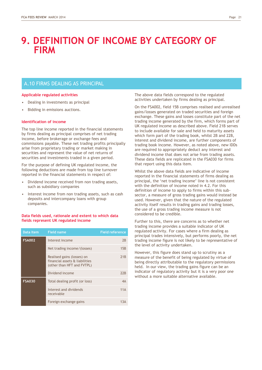### A.10 FIRMS DEALING AS PRINCIPAL

### **Applicable regulated activities**

- Dealing in investments as principal
- Bidding in emissions auctions.

### **Identification of income**

The top line income reported in the financial statements by firms dealing as principal comprises of net trading income, before brokerage or exchange fees and commissions payable. These net trading profits principally arise from proprietary trading or market making in securities and represent the value of net returns of securities and investments traded in a given period.

For the purpose of defining UK regulated income, the following deductions are made from top line turnover reported in the financial statements in respect of:

- Dividend income received from non trading assets, such as subsidiary companies
- Interest income from non trading assets, such as cash deposits and intercompany loans with group companies.

### **Data fields used, rationale and extent to which data fields represent UK regulated income**

| Data item and a set of the set of the set of the set of the set of the set of the set of the set of the set of the set of the set of the set of the set of the set of the set of the set of the set of the set of the set of t | <b>Field name</b>                                                                          | <b>Field reference</b> |
|--------------------------------------------------------------------------------------------------------------------------------------------------------------------------------------------------------------------------------|--------------------------------------------------------------------------------------------|------------------------|
| <b>FSA002</b>                                                                                                                                                                                                                  | Interest income                                                                            | 2 <sub>B</sub>         |
|                                                                                                                                                                                                                                | Net trading income/(losses)                                                                | 15B                    |
|                                                                                                                                                                                                                                | Realised gains (losses) on<br>financial assets & liabilities<br>(other than HFT and FVTPL) | 21 <sub>B</sub>        |
|                                                                                                                                                                                                                                | Dividend income                                                                            | 22B                    |
| <b>FSA030</b>                                                                                                                                                                                                                  | Total dealing profit (or loss)                                                             | $4\text{Å}$            |
|                                                                                                                                                                                                                                | Interest and dividends<br>receivable                                                       | 11A                    |
|                                                                                                                                                                                                                                | Foreign exchange gains                                                                     |                        |

The above data fields correspond to the regulated activities undertaken by firms dealing as principal.

On the FSA002, field 15B comprises realised and unrealised gains/losses generated on traded securities and foreign exchange. These gains and losses constitute part of the net trading income generated by the firm, which forms part of UK regulated income as described above. Field 21B serves to include available for sale and held to maturity assets which form part of the trading book, whilst 2B and 22B, interest and dividend income, are further components of trading book income. However, as noted above, new IDDs are required to appropriately deduct any interest and dividend income that does not arise from trading assets. These data fields are replicated in the FSA030 for firms that report using this data item.

Whilst the above data fields are indicative of income reported in the financial statements of firms dealing as principal, the "net trading income" line is not consistent with the definition of income noted in 4.2. For this definition of income to apply to firms within this subsector, a measure of gross trading gains would instead be used. However, given that the nature of the regulated activity itself results in trading gains and trading losses, the use of a gross trading income measure is not considered to be credible.

Further to this, there are concerns as to whether net trading income provides a suitable indicator of UK regulated activity. For cases where a firm dealing as principal trades intensively, but performs poorly, the net trading income figure is not likely to be representative of the level of activity undertaken.

However, this figure does stand up to scrutiny as a measure of the benefit of being regulated by virtue of being directly attributable to the regulatory permissions held. In our view, the trading gains figure can be an indicator of regulatory activity but it is a very poor one without a more suitable alternative available.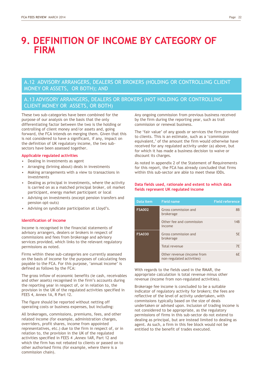A.12 ADVISORY ARRANGERS, DEALERS OR BROKERS (HOLDING OR CONTROLLING CLIENT MONEY OR ASSETS, OR BOTH); AND

### A.13 ADVISORY ARRANGERS, DEALERS OR BROKERS (NOT HOLDING OR CONTROLLING CLIENT MONEY OR ASSETS, OR BOTH)

These two sub-categories have been combined for the purpose of our analysis on the basis that the only differentiating factor between the two is the holding or controlling of client money and/or assets and, going forward, the FCA intends on merging them. Given that this is not considered to have a significant, if any, impact on the definition of UK regulatory income, the two subsectors have been assessed together.

### **Applicable regulated activities**

- Dealing in investments as agent
- Arranging (brining about) deals in investments
- Making arrangements with a view to transactions in investments
- Dealing as principal in investments, where the activity is carried on as a matched principal broker, oil market participant, energy market participant or local
- Advising on investments (except pension transfers and pension opt-outs)
- Advising on syndicate participation at Lloyd"s.

#### **Identification of income**

Income is recognised in the financial statements of advisory arrangers, dealers or brokers in respect of commissions and fees from brokerage and advisory services provided, which links to the relevant regulatory permissions as noted.

Firms within these sub-categories are currently assessed on the basis of income for the purposes of calculating fees payable to the FCA. For this purpose, 'annual income' is defined as follows by the FCA:

The gross inflow of economic benefits (ie cash, receivables and other assets) recognised in the firm's accounts during the reporting year in respect of, or in relation to, the provision in the UK of the regulated activities specified in FEES 4, Annex 1A, R Part 12.

The figure should be reported without netting off operating costs or business expenses, but including:

All brokerages, commissions, premiums, fees, and other related income (for example, administration charges, overriders, profit shares, income from appointed representatives, etc.) due to the firm in respect of, or in relation to, the provision in the UK of the regulated activities specified in FEES 4 ,Annex 1AR, Part 12 and which the firm has not rebated to clients or passed on to other authorised firms (for example, where there is a commission chain).

Any ongoing commission from previous business received by the firm during the reporting year, such as trail commission or renewal business.

The 'fair value' of any goods or services the firm provided to clients. This is an estimate, such as a "commission equivalent,' of the amount the firm would otherwise have received for any regulated activity under (a) above, but for which it has made a business decision to waive or discount its charges.

As noted in appendix 2 of the Statement of Requirements for this report, the FCA has already concluded that firms within this sub-sector are able to meet these IDDs.

### **Data fields used, rationale and extent to which data fields represent UK regulated income**

| Data item     | <b>Field name</b>                                       | <b>Field reference</b> |
|---------------|---------------------------------------------------------|------------------------|
| <b>FSA002</b> | Gross commission and<br>brokerage                       | <b>8B</b>              |
|               | Other fee and commission<br>income                      | 14B                    |
| <b>FSA030</b> | Gross commission and<br>brokerage                       | 5F                     |
|               | Total revenue                                           | 7F                     |
|               | Other revenue (income from<br>non-regulated activities) | 6F                     |

With regards to the fields used in the RMAR, the appropriate calculation is total revenue minus other revenue (income from non-regulated activities).

Brokerage fee income is concluded to be a suitable indicator of regulatory activity for brokers; the fees are reflective of the level of activity undertaken, with commissions typically based on the size of deals undertaken or advised upon. Inclusion of trading income is not considered to be appropriate, as the regulatory permissions of firms in this sub-sector do not extend to dealing as principal, but are instead limited to dealing as agent. As such, a firm in this fee block would not be entitled to the benefit of trades executed.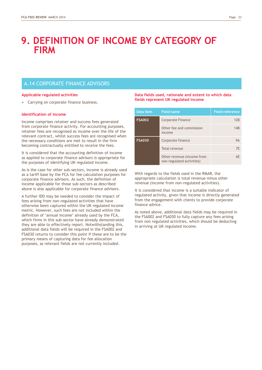### A.14 CORPORATE FINANCE ADVISORS

### **Applicable regulated activities**

• Carrying on corporate finance business.

### **Identification of income**

Income comprises retainer and success fees generated from corporate finance activity. For accounting purposes, retainer fees are recognised as income over the life of the relevant contract, whilst success fees are recognised when the necessary conditions are met to result in the firm becoming contractually entitled to receive the fees.

It is considered that the accounting definition of income as applied to corporate finance advisors is appropriate for the purposes of identifying UK regulated income.

As is the case for other sub-sectors, income is already used as a tariff base by the FCA for fee calculation purposes for corporate finance advisors. As such, the definition of income applicable for those sub-sectors as described above is also applicable for corporate finance advisors.

A further IDD may be needed to consider the impact of fees arising from non-regulated activities that have otherwise been captured within the UK regulated income metric. However, such fees are not included within the definition of 'annual income' already used by the FCA, which firms in this sub-sector have already demonstrated they are able to effectively report. Notwithstanding this, additional data fields will be required in the FSA002 and FSA030 returns to consider this point if these are to be the primary means of capturing data for fee allocation purposes, as relevant fields are not currently included.

### **Data fields used, rationale and extent to which data fields represent UK regulated income**

| Data item     | <b>Field name</b>                                       | <b>Field reference</b> |
|---------------|---------------------------------------------------------|------------------------|
| <b>FSA002</b> | Corporate Finance                                       | 12B                    |
|               | Other fee and commission<br>income                      | 14B                    |
| <b>FSA030</b> | Corporate finance                                       | 9Α                     |
|               | Total revenue                                           | 7F                     |
|               | Other revenue (income from<br>non-regulated activities) | 6F                     |

With regards to the fields used in the RMAR, the appropriate calculation is total revenue minus other revenue (income from non-regulated activities).

It is considered that income is a suitable indicator of regulated activity, given that income is directly generated from the engagement with clients to provide corporate finance advice.

As noted above, additional data fields may be required in the FSA002 and FSA030 to fully capture any fees arising from non regulated activities, which should be deducting in arriving at UK regulated income.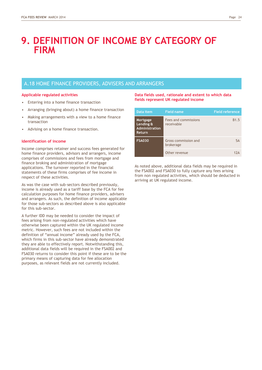### A.18 HOME FINANCE PROVIDERS, ADVISERS AND ARRANGERS

### **Applicable regulated activities**

- Entering into a home finance transaction
- Arranging (bringing about) a home finance transaction
- Making arrangements with a view to a home finance transaction
- Advising on a home finance transaction.

#### **Identification of income**

Income comprises retainer and success fees generated for home finance providers, advisors and arrangers, income comprises of commissions and fees from mortgage and finance broking and administration of mortgage applications. The turnover reported in the financial statements of these firms comprises of fee income in respect of these activities.

As was the case with sub-sectors described previously, income is already used as a tariff base by the FCA for fee calculation purposes for home finance providers, advisers and arrangers. As such, the definition of income applicable for those sub-sectors as described above is also applicable for this sub-sector.

A further IDD may be needed to consider the impact of fees arising from non-regulated activities which have otherwise been captured within the UK regulated income metric. However, such fees are not included within the definition of "annual income" already used by the FCA, which firms in this sub-sector have already demonstrated they are able to effectively report. Notwithstanding this, additional data fields will be required in the FSA002 and FSA030 returns to consider this point if these are to be the primary means of capturing data for fee allocation purposes, as relevant fields are not currently included.

### **Data fields used, rationale and extent to which data fields represent UK regulated income**

| Data item                                                       | <b>Field name</b>                  | <b>Field reference</b> |
|-----------------------------------------------------------------|------------------------------------|------------------------|
| Mortgage<br>Lending &<br><b>Administration</b><br><b>Return</b> | Fees and commissions<br>receivable | <b>B1.5</b>            |
| <b>FSA030</b>                                                   | Gross commission and<br>brokerage  | 5A                     |
|                                                                 | Other revenue                      | 17∆                    |

As noted above, additional data fields may be required in the FSA002 and FSA030 to fully capture any fees arising from non regulated activities, which should be deducted in arriving at UK regulated income.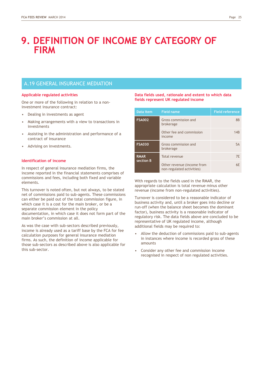### A.19 GENERAL INSURANCE MEDIATION

### **Applicable regulated activities**

One or more of the following in relation to a noninvestment insurance contract:

- Dealing in investments as agent
- Making arrangements with a view to transactions in investments
- Assisting in the administration and performance of a contract of insurance
- Advising on investments.

### **Identification of income**

In respect of general insurance mediation firms, the income reported in the financial statements comprises of commissions and fees, including both fixed and variable elements.

This turnover is noted often, but not always, to be stated net of commissions paid to sub-agents. These commissions can either be paid out of the total commission figure, in which case it is a cost for the main broker, or be a separate commission element in the policy documentation, in which case it does not form part of the main broker"s commission at all.

As was the case with sub-sectors described previously, income is already used as a tariff base by the FCA for fee calculation purposes for general insurance mediation firms. As such, the definition of income applicable for those sub-sectors as described above is also applicable for this sub-sector.

### **Data fields used, rationale and extent to which data fields represent UK regulated income**

| Data item                | <b>Field name</b>                                       | <b>Field reference</b> |
|--------------------------|---------------------------------------------------------|------------------------|
| <b>FSA002</b>            | Gross commission and<br>brokerage                       | <b>8B</b>              |
|                          | Other fee and commission<br>income                      | 14B                    |
| <b>FSA030</b>            | Gross commission and<br>brokerage                       | 5A                     |
| <b>RMAR</b><br>section B | Total revenue                                           | 7F                     |
|                          | Other revenue (income from<br>non-regulated activities) | 6F                     |

With regards to the fields used in the RMAR, the appropriate calculation is total revenue minus other revenue (income from non-regulated activities).

Turnover is considered to be a reasonable indicator of business activity and, until a broker goes into decline or run-off (when the balance sheet becomes the dominant factor), business activity is a reasonable indicator of regulatory risk. The data fields above are concluded to be representative of UK regulated income, although additional fields may be required to:

- Allow the deduction of commissions paid to sub-agents in instances where income is recorded gross of these amounts
- Consider any other fee and commission income recognised in respect of non regulated activities.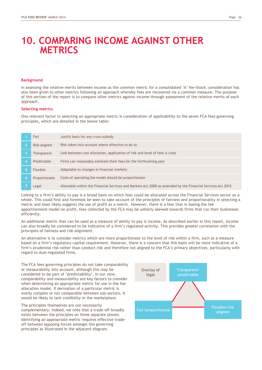### **10. COMPARING INCOME AGAINST OTHER METRICS**

### **Background**

In assessing the relative merits between income as the common metric for a consolidated 'A' fee-block, consideration has also been given to other metrics following an approach whereby fees are recovered via a common measure. The purpose of this section of the report is to compare other metrics against income through assessment of the relative merits of each approach.

#### **Selecting metrics**

One relevant factor in selecting an appropriate metric is consideration of applicability to the seven FCA fees governing principles, which are detailed in the below table:

|   | Fair          | Justify basis for any cross-subsidy                                                                        |
|---|---------------|------------------------------------------------------------------------------------------------------------|
|   | Risk aligned  | Risk taken into account where effective to do so                                                           |
|   | Transparent   | Link between cost allocation, application of risk and level of fees is clear                               |
|   | Predictable   | Firms can reasonably estimate their fees for the forthcoming year                                          |
|   | Flexible      | Adaptable to changes in financial markets                                                                  |
| 6 | Proportionate | Costs of operating the model should be proportionate                                                       |
|   | Legal         | Allowable within the Financial Services and Markets Act 2000 as amended by the Financial Services Act 2012 |

Linking to a firm"s ability to pay is a broad basis on which fees could be allocated across the Financial Services sector as a whole. This could first and foremost be seen to take account of the principles of fairness and proportionality in selecting a metric and most likely suggests the use of profit as a metric. However, there is a fear that in basing the fee apportionment model on profit, fees collected by the FCA may be unfairly skewed towards firms that run their businesses efficiently.

An additional metric that can be used as a measure of ability to pay is income. As described earlier in this report, income can also broadly be considered to be indicative of a firm"s regulated activity. This provides greater correlation with the principles of fairness and risk alignment.

An alternative is to consider metrics which are more proportionate to the level of risk within a firm, such as a measure based on a firm"s regulatory capital requirement. However, there is a concern that this basis will be more indicative of a firm"s prudential risk rather than conduct risk and therefore not aligned to the FCA"s primary objectives, particularly with regard to dual-regulated firms.

The FCA fees governing principles do not take comparability or measurability into account, although this may be considered to be part of "predictability". In our view, comparability and measurability are key factors to consider when determining an appropriate metric for use in the fee allocation model. If derivation of a particular metric is overly complex or not comparable between sub-sectors, it would be likely to lack credibility in the marketplace.

The principles themselves are not necessarily complementary; indeed, we note that a trade-off broadly exists between the principles on three separate planes. Identifying an appropriate metric requires effective tradeoff between opposing forces amongst the governing principles as illustrated in the adjacent diagram.

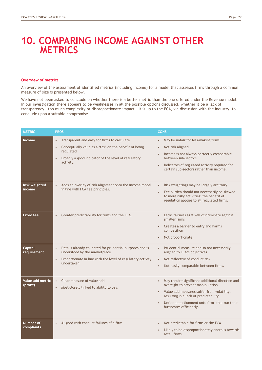### **10. COMPARING INCOME AGAINST OTHER METRICS**

#### **Overview of metrics**

An overview of the assessment of identified metrics (including income) for a model that assesses firms through a common measure of size is presented below.

We have not been asked to conclude on whether there is a better metric than the one offered under the Revenue model. In our investigation there appears to be weaknesses in all the possible options discussed, whether it be a lack of transparency, too much complexity or disproportionate impact. It is up to the FCA, via discussion with the industry, to conclude upon a suitable compromise.

| <b>METRIC</b>                 | <b>PROS</b>                                                                                                                                                                                                                  | <b>CONS</b>                                                                                                                                                                                                                                                                         |
|-------------------------------|------------------------------------------------------------------------------------------------------------------------------------------------------------------------------------------------------------------------------|-------------------------------------------------------------------------------------------------------------------------------------------------------------------------------------------------------------------------------------------------------------------------------------|
| <b>Income</b>                 | Transparent and easy for firms to calculate<br>$\bullet$<br>Conceptually valid as a 'tax' on the benefit of being<br>$\bullet$<br>regulated<br>Broadly a good indicator of the level of regulatory<br>$\bullet$<br>activity. | May be unfair for loss-making firms<br>$\bullet$<br>Not risk aligned<br>$\bullet$<br>Income is not always perfectly comparable<br>between sub-sectors<br>Indicators of regulated activity required for<br>certain sub-sectors rather than income.                                   |
| Risk weighted<br>income       | Adds an overlay of risk alignment onto the income model<br>$\bullet$<br>in line with FCA fee principles.                                                                                                                     | Risk weightings may be largely arbitrary<br>$\bullet$<br>Fee burden should not necessarily be skewed<br>$\bullet$<br>to more risky activities; the benefit of<br>regulation applies to all regulated firms.                                                                         |
| <b>Fixed fee</b>              | Greater predictability for firms and the FCA.                                                                                                                                                                                | Lacks fairness as it will discriminate against<br>smaller firms<br>Creates a barrier to entry and harms<br>competition<br>Not proportionate.                                                                                                                                        |
| <b>Capital</b><br>requirement | Data is already collected for prudential purposes and is<br>$\bullet$<br>understood by the marketplace<br>Proportionate in line with the level of regulatory activity<br>$\bullet$<br>undertaken.                            | Prudential measure and so not necessarily<br>$\bullet$<br>aligned to FCA's objectives<br>Not reflective of conduct risk<br>$\bullet$<br>Not easily comparable between firms.                                                                                                        |
| Value add metric<br>(profit)  | Clear measure of value add<br>$\bullet$<br>Most closely linked to ability to pay.                                                                                                                                            | May require significant additional direction and<br>oversight to prevent manipulation<br>Value add measures suffer from volatility,<br>$\bullet$<br>resulting in a lack of predictability<br>Unfair apportionment onto firms that run their<br>$\bullet$<br>businesses efficiently. |
| Number of<br>complaints       | Aligned with conduct failures of a firm.                                                                                                                                                                                     | Not predictable for firms or the FCA<br>Likely to be disproportionately onerous towards<br>retail firms.                                                                                                                                                                            |